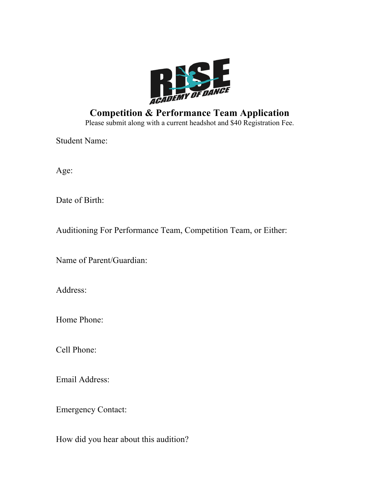

# **Competition & Performance Team Application** Please submit along with a current headshot and \$40 Registration Fee.

Student Name:

Age:

Date of Birth:

Auditioning For Performance Team, Competition Team, or Either:

Name of Parent/Guardian:

Address:

Home Phone:

Cell Phone:

Email Address:

Emergency Contact:

How did you hear about this audition?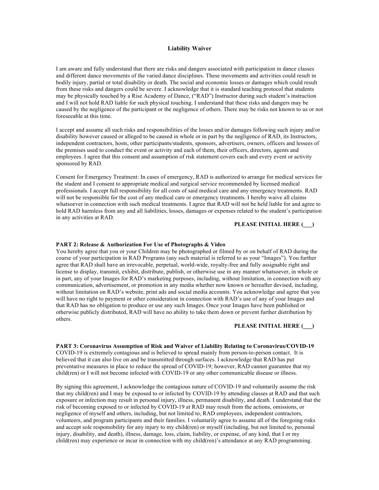## **Liability Waiver**

I am aware and fully understand that there are risks and dangers associated with participation in dance classes and different dance movements of the varied dance disciplines. These movements and activities could result in bodily injury, partial or total disability or death. The social and economic losses or damages which could result from these risks and dangers could be severe. I acknowledge that it is standard teaching protocol that students may be physically touched by a Rise Academy of Dance, ("RAD") Instructor during such student's instruction and I will not hold RAD liable for such physical touching. I understand that these risks and dangers may be caused by the negligence of the participant or the negligence of others. There may be risks not known to us or not foreseeable at this time.

I accept and assume all such risks and responsibilities of the losses and/or damages following such injury and/or disability however caused or alleged to be caused in whole or in part by the negligence of RAD, its Instructors, independent contractors, hosts, other participants/students, sponsors, advertisers, owners, officers and lessees of the premises used to conduct the event or activity and each of them, their officers, directors, agents and employees. I agree that this consent and assumption of risk statement covers each and every event or activity sponsored by RAD.

Consent for Emergency Treatment: In cases of emergency, RAD is authorized to arrange for medical services for the student and I consent to appropriate medical and surgical service recommended by licensed medical professionals. I accept full responsibility for all costs of said medical care and any emergency treatments. RAD will not be responsible for the cost of any medical care or emergency treatments. I hereby waive all claims whatsoever in connection with such medical treatments. I agree that RAD will not be held liable for and agree to hold RAD harmless from any and all liabilities, losses, damages or expenses related to the student's participation in any activities at RAD.

## **PLEASE INITIAL HERE (\_\_\_)**

## **PART 2: Release & Authorization For Use of Photographs & Video**

You hereby agree that you or your Children may be photographed or filmed by or on behalf of RAD during the course of your participation in RAD Programs (any such material is referred to as your "Images"). You further agree that RAD shall have an irrevocable, perpetual, world-wide, royalty-free and fully assignable right and license to display, transmit, exhibit, distribute, publish, or otherwise use in any manner whatsoever, in whole or in part, any of your Images for RAD's marketing purposes, including, without limitation, in connection with any communication, advertisement, or promotion in any media whether now known or hereafter devised, including, without limitation on RAD's website, print ads and social media accounts. You acknowledge and agree that you will have no right to payment or other consideration in connection with RAD's use of any of your Images and that RAD has no obligation to produce or use any such Images. Once your Images have been published or otherwise publicly distributed, RAD will have no ability to take them down or prevent further distribution by others.

## **PLEASE INITIAL HERE (\_\_\_)**

#### **PART 3: Coronavirus Assumption of Risk and Waiver of Liability Relating to Coronavirus/COVID-19**

COVID-19 is extremely contagious and is believed to spread mainly from person-to-person contact. It is believed that it can also live on and be transmitted through surfaces. I acknowledge that RAD has put preventative measures in place to reduce the spread of COVID-19; however, RAD cannot guarantee that my child(ren) or I will not become infected with COVID-19 or any other communicable disease or illness.

By signing this agreement, I acknowledge the contagious nature of COVID-19 and voluntarily assume the risk that my child(ren) and I may be exposed to or infected by COVID-19 by attending classes at RAD and that such exposure or infection may result in personal injury, illness, permanent disability, and death. I understand that the risk of becoming exposed to or infected by COVID-19 at RAD may result from the actions, omissions, or negligence of myself and others, including, but not limited to, RAD employees, independent contractors, volunteers, and program participants and their families. I voluntarily agree to assume all of the foregoing risks and accept sole responsibility for any injury to my child(ren) or myself (including, but not limited to, personal injury, disability, and death), illness, damage, loss, claim, liability, or expense, of any kind, that I or my child(ren) may experience or incur in connection with my child(ren)'s attendance at any RAD programming.